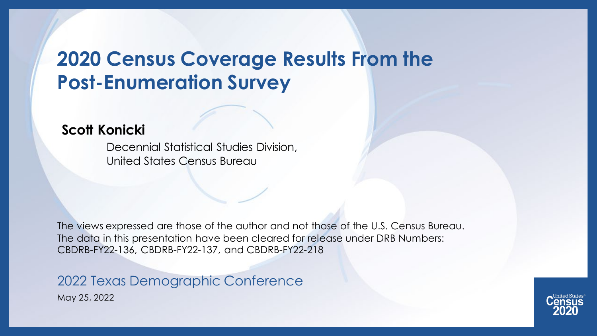#### **2020 Census Coverage Results From the Post-Enumeration Survey**

#### **Scott Konicki**

Decennial Statistical Studies Division, United States Census Bureau

The views expressed are those of the author and not those of the U.S. Census Bureau. The data in this presentation have been cleared for release under DRB Numbers: CBDRB-FY22-136, CBDRB-FY22-137, and CBDRB-FY22-218

May 25, 2022 2022 Texas Demographic Conference

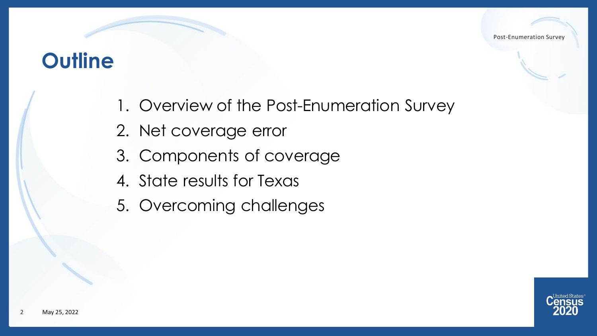#### **Outline**

- 1. Overview of the Post-Enumeration Survey
- 2. Net coverage error
- 3. Components of coverage
- 4. State results for Texas
- 5. Overcoming challenges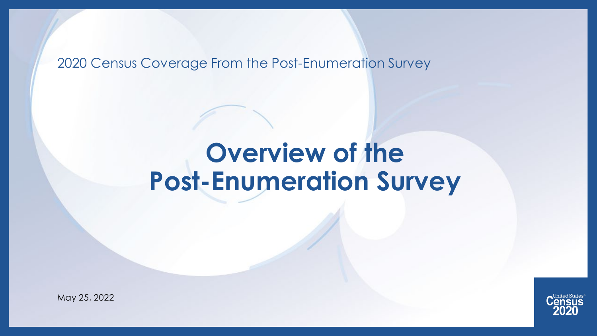2020 Census Coverage From the Post-Enumeration Survey

# **Overview of the Post-Enumeration Survey**



May 25, 2022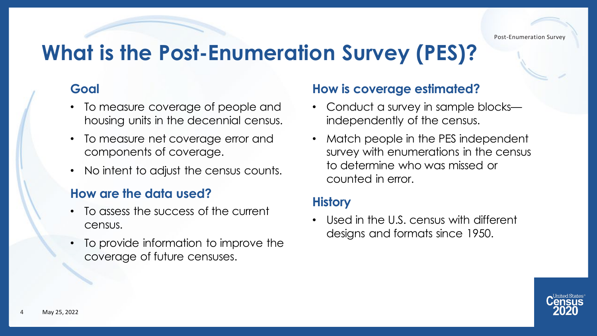## **What is the Post-Enumeration Survey (PES)?**

#### **Goal**

- To measure coverage of people and housing units in the decennial census.
- To measure net coverage error and components of coverage.
- No intent to adjust the census counts.

#### **How are the data used?**

- To assess the success of the current census.
- To provide information to improve the coverage of future censuses.

#### **How is coverage estimated?**

- Conduct a survey in sample blocks independently of the census.
- Match people in the PES independent survey with enumerations in the census to determine who was missed or counted in error.

#### **History**

• Used in the U.S. census with different designs and formats since 1950.

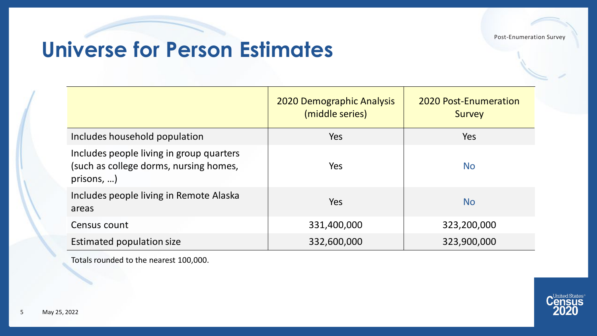## **Universe for Person Estimates**

|                                                                                                | <b>2020 Demographic Analysis</b><br>(middle series) | <b>2020 Post-Enumeration</b><br><b>Survey</b> |
|------------------------------------------------------------------------------------------------|-----------------------------------------------------|-----------------------------------------------|
| Includes household population                                                                  | Yes                                                 | Yes                                           |
| Includes people living in group quarters<br>(such as college dorms, nursing homes,<br>prisons, | Yes                                                 | <b>No</b>                                     |
| Includes people living in Remote Alaska<br>areas                                               | Yes                                                 | <b>No</b>                                     |
| Census count                                                                                   | 331,400,000                                         | 323,200,000                                   |
| Estimated population size                                                                      | 332,600,000                                         | 323,900,000                                   |

Totals rounded to the nearest 100,000.

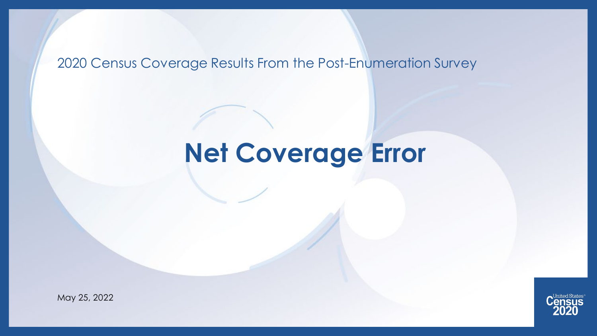#### 2020 Census Coverage Results From the Post-Enumeration Survey

# **Net Coverage Error**



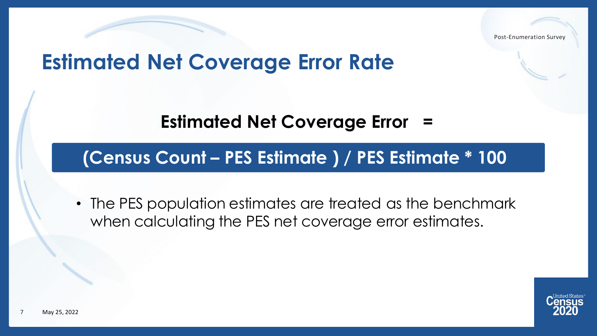#### **Estimated Net Coverage Error Rate**

**Estimated Net Coverage Error =**

#### **(Census Count – PES Estimate ) / PES Estimate \* 100**

• The PES population estimates are treated as the benchmark when calculating the PES net coverage error estimates.

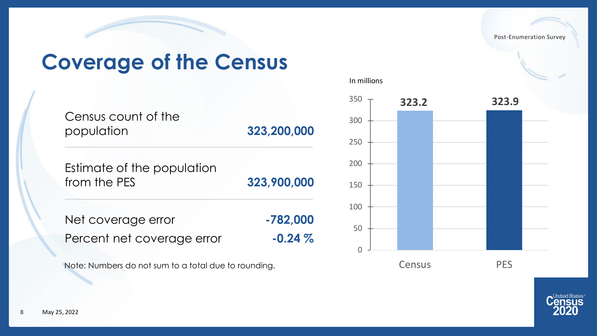## **Coverage of the Census**

| Census count of the<br>population          | 323,200,000 |
|--------------------------------------------|-------------|
| Estimate of the population<br>from the PES | 323,900,000 |
| Net coverage error                         | -782,000    |
| Percent net coverage error                 | $-0.24\%$   |

Note: Numbers do not sum to a total due to rounding.



United States<sup>®</sup> **ISUS**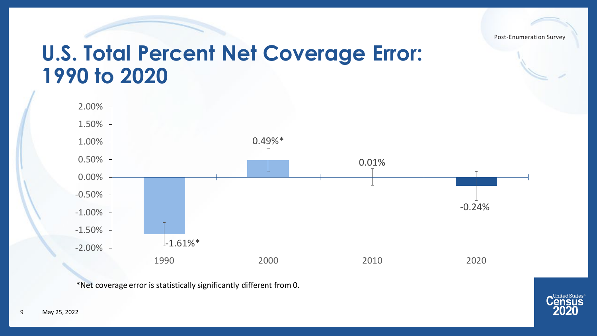

#### **U.S. Total Percent Net Coverage Error: 1990 to 2020**



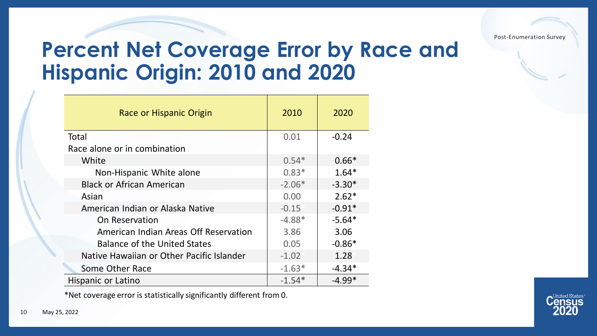## **Percent Net Coverage Error by Race and Hispanic Origin: 2010 and 2020**

| Race or Hispanic Origin                   | 2010              | 2020     |
|-------------------------------------------|-------------------|----------|
| Total                                     | 0.01              | $-0.24$  |
| Race alone or in combination              |                   |          |
| White                                     | $0.54*$           | $0.66*$  |
| Non-Hispanic White alone                  | $0.83*$           | $1.64*$  |
| <b>Black or African American</b>          | $-2.06*$          | $-3.30*$ |
| Asian                                     | 0.00 <sub>1</sub> | $2.62*$  |
| American Indian or Alaska Native          | $-0.15$           | $-0.91*$ |
| On Reservation                            | $-4.88*$          | $-5.64*$ |
| American Indian Areas Off Reservation     | 3.86              | 3.06     |
| <b>Balance of the United States</b>       | 0.05              | $-0.86*$ |
| Native Hawaiian or Other Pacific Islander | $-1.02$           | 1.28     |
| Some Other Race                           | $-1.63*$          | $-4.34*$ |
| Hispanic or Latino                        | $-1.54*$          | $-4.99*$ |

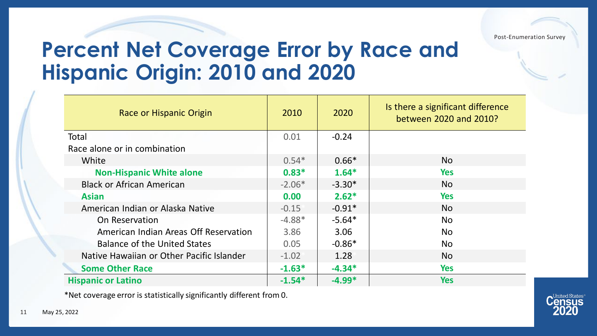#### **Percent Net Coverage Error by Race and Hispanic Origin: 2010 and 2020**

| Race or Hispanic Origin                   | 2010     | 2020     | Is there a significant difference<br>between 2020 and 2010? |
|-------------------------------------------|----------|----------|-------------------------------------------------------------|
| Total                                     | 0.01     | $-0.24$  |                                                             |
| Race alone or in combination              |          |          |                                                             |
| White                                     | $0.54*$  | $0.66*$  | No                                                          |
| <b>Non-Hispanic White alone</b>           | $0.83*$  | $1.64*$  | <b>Yes</b>                                                  |
| <b>Black or African American</b>          | $-2.06*$ | $-3.30*$ | <b>No</b>                                                   |
| <b>Asian</b>                              | 0.00     | $2.62*$  | <b>Yes</b>                                                  |
| American Indian or Alaska Native          | $-0.15$  | $-0.91*$ | <b>No</b>                                                   |
| On Reservation                            | $-4.88*$ | $-5.64*$ | <b>No</b>                                                   |
| American Indian Areas Off Reservation     | 3.86     | 3.06     | <b>No</b>                                                   |
| <b>Balance of the United States</b>       | 0.05     | $-0.86*$ | <b>No</b>                                                   |
| Native Hawaiian or Other Pacific Islander | $-1.02$  | 1.28     | <b>No</b>                                                   |
| <b>Some Other Race</b>                    | $-1.63*$ | $-4.34*$ | <b>Yes</b>                                                  |
| <b>Hispanic or Latino</b>                 | $-1.54*$ | $-4.99*$ | <b>Yes</b>                                                  |

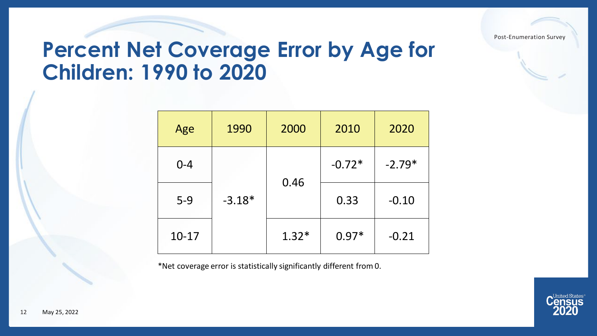#### **Percent Net Coverage Error by Age for Children: 1990 to 2020**

| Age     | 1990     | 2000    | 2010     | 2020     |
|---------|----------|---------|----------|----------|
| $0 - 4$ |          |         | $-0.72*$ | $-2.79*$ |
| $5-9$   | $-3.18*$ | 0.46    | 0.33     | $-0.10$  |
| $10-17$ |          | $1.32*$ | $0.97*$  | $-0.21$  |

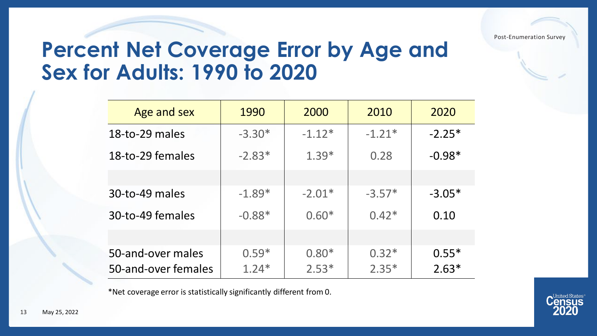## **Percent Net Coverage Error by Age and Sex for Adults: 1990 to 2020**

| Age and sex                              | 1990               | 2000               | 2010               | 2020               |
|------------------------------------------|--------------------|--------------------|--------------------|--------------------|
| 18-to-29 males                           | $-3.30*$           | $-1.12*$           | $-1.21*$           | $-2.25*$           |
| 18-to-29 females                         | $-2.83*$           | $1.39*$            | 0.28               | $-0.98*$           |
|                                          |                    |                    |                    |                    |
| 30-to-49 males                           | $-1.89*$           | $-2.01*$           | $-3.57*$           | $-3.05*$           |
| 30-to-49 females                         | $-0.88*$           | $0.60*$            | $0.42*$            | 0.10               |
|                                          |                    |                    |                    |                    |
| 50-and-over males<br>50-and-over females | $0.59*$<br>$1.24*$ | $0.80*$<br>$2.53*$ | $0.32*$<br>$2.35*$ | $0.55*$<br>$2.63*$ |

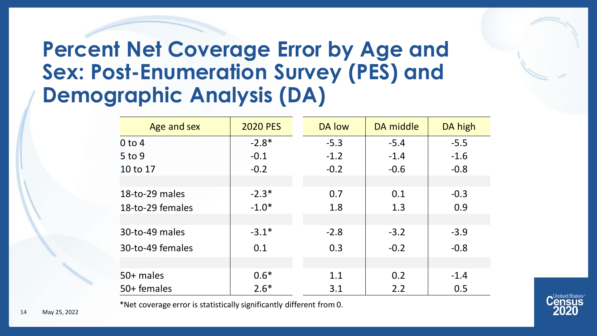## **Percent Net Coverage Error by Age and Sex: Post-Enumeration Survey (PES) and Demographic Analysis (DA)**

| Age and sex      | <b>2020 PES</b> | DA low | DA middle | DA high |
|------------------|-----------------|--------|-----------|---------|
| $0$ to $4$       | $-2.8*$         | $-5.3$ | $-5.4$    | $-5.5$  |
| $5$ to 9         | $-0.1$          | $-1.2$ | $-1.4$    | $-1.6$  |
| 10 to 17         | $-0.2$          | $-0.2$ | $-0.6$    | $-0.8$  |
|                  |                 |        |           |         |
| 18-to-29 males   | $-2.3*$         | 0.7    | 0.1       | $-0.3$  |
| 18-to-29 females | $-1.0*$         | 1.8    | 1.3       | 0.9     |
|                  |                 |        |           |         |
| 30-to-49 males   | $-3.1*$         | $-2.8$ | $-3.2$    | $-3.9$  |
| 30-to-49 females | 0.1             | 0.3    | $-0.2$    | $-0.8$  |
|                  |                 |        |           |         |
| 50+ males        | $0.6*$          | 1.1    | 0.2       | $-1.4$  |
| 50+ females      | $2.6*$          | 3.1    | 2.2       | 0.5     |

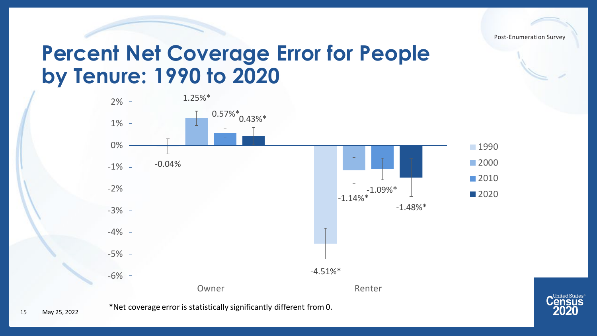

#### **Percent Net Coverage Error for People by Tenure: 1990 to 2020**



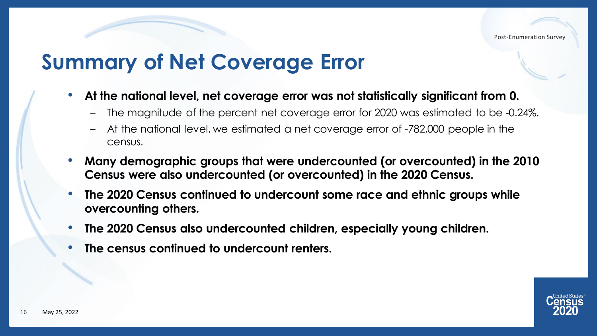## **Summary of Net Coverage Error**

- **At the national level, net coverage error was not statistically significant from 0.**
	- The magnitude of the percent net coverage error for 2020 was estimated to be -0.24%.
	- At the national level, we estimated a net coverage error of -782,000 people in the census.
- **Many demographic groups that were undercounted (or overcounted) in the 2010 Census were also undercounted (or overcounted) in the 2020 Census.**
- **The 2020 Census continued to undercount some race and ethnic groups while overcounting others.**
- **The 2020 Census also undercounted children, especially young children.**
- **The census continued to undercount renters.**

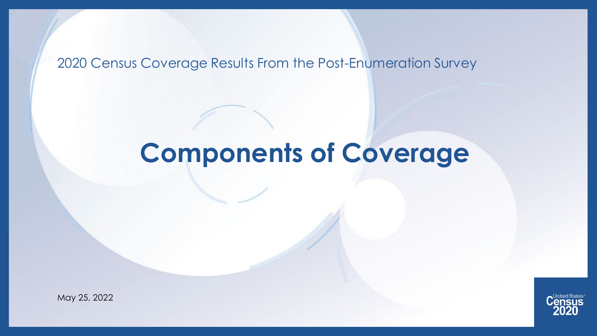#### 2020 Census Coverage Results From the Post-Enumeration Survey

# **Components of Coverage**



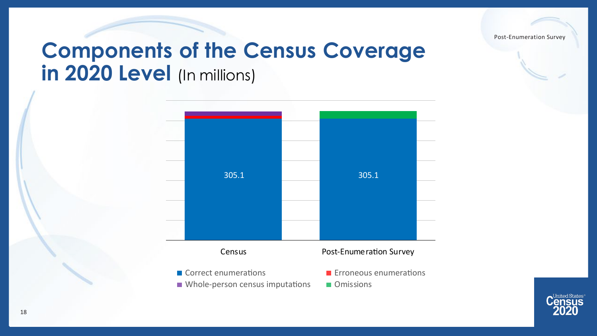## **Components of the Census Coverage in 2020 Level** (In millions)



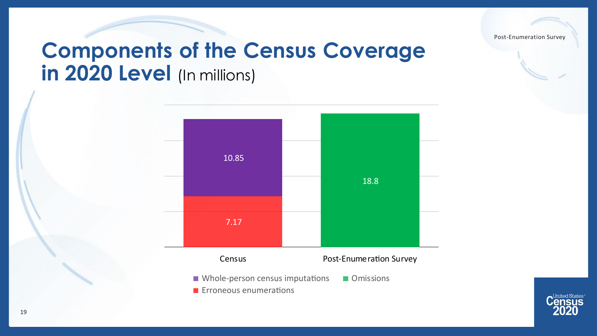

## **Components of the Census Coverage in 2020 Level** (In millions)



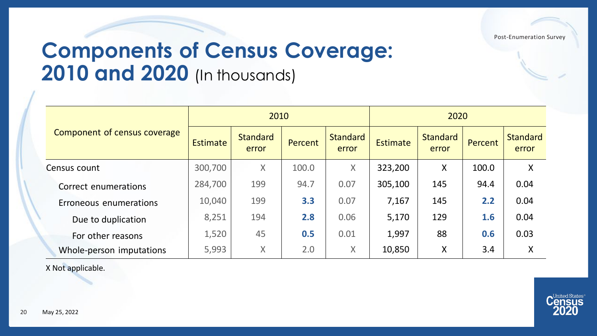## **Components of Census Coverage: 2010 and 2020** (In thousands)

|                              |                 | 2010                     |         |                          | 2020            |                          |         |                          |
|------------------------------|-----------------|--------------------------|---------|--------------------------|-----------------|--------------------------|---------|--------------------------|
| Component of census coverage | <b>Estimate</b> | <b>Standard</b><br>error | Percent | <b>Standard</b><br>error | <b>Estimate</b> | <b>Standard</b><br>error | Percent | <b>Standard</b><br>error |
| Census count                 | 300,700         | $\sf X$                  | 100.0   | $\sf X$                  | 323,200         | X                        | 100.0   | X                        |
| Correct enumerations         | 284,700         | 199                      | 94.7    | 0.07                     | 305,100         | 145                      | 94.4    | 0.04                     |
| Erroneous enumerations       | 10,040          | 199                      | 3.3     | 0.07                     | 7,167           | 145                      | 2.2     | 0.04                     |
| Due to duplication           | 8,251           | 194                      | 2.8     | 0.06                     | 5,170           | 129                      | 1.6     | 0.04                     |
| For other reasons            | 1,520           | 45                       | 0.5     | 0.01                     | 1,997           | 88                       | 0.6     | 0.03                     |
| Whole-person imputations     | 5,993           | $\sf X$                  | 2.0     | X                        | 10,850          | X                        | 3.4     | X                        |

X Not applicable.

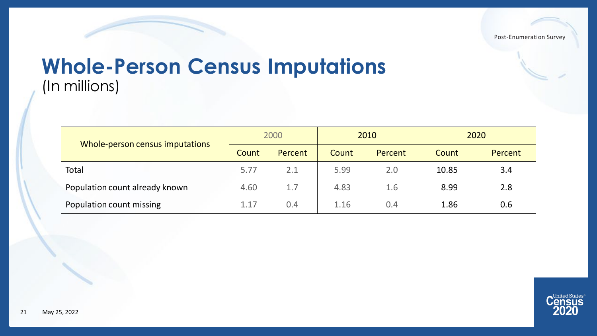#### **Whole-Person Census Imputations** (In millions)

|                                 |       | 2000    | 2010  |         | 2020  |         |
|---------------------------------|-------|---------|-------|---------|-------|---------|
| Whole-person census imputations | Count | Percent | Count | Percent | Count | Percent |
| Total                           | 5.77  | 2.1     | 5.99  | 2.0     | 10.85 | 3.4     |
| Population count already known  | 4.60  | 1.7     | 4.83  | 1.6     | 8.99  | 2.8     |
| Population count missing        | 1.17  | 0.4     | 1.16  | 0.4     | 1.86  | 0.6     |

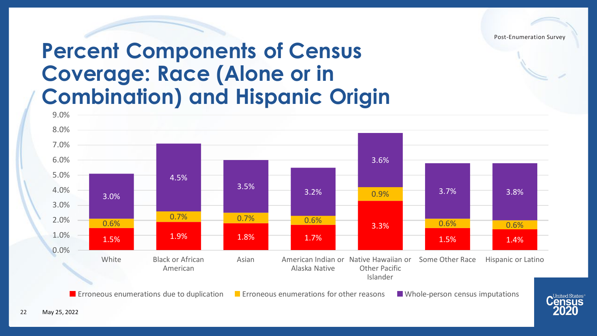ISUS

### **Percent Components of Census Coverage: Race (Alone or in Combination) and Hispanic Origin**



22 May 25, 2022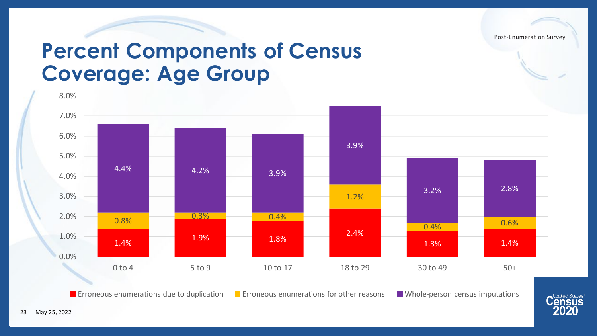#### **Percent Components of Census Coverage: Age Group**



**Exercices E** Erroneous enumerations due to duplication **E** Erroneous enumerations for other reasons E Whole-person census imputations

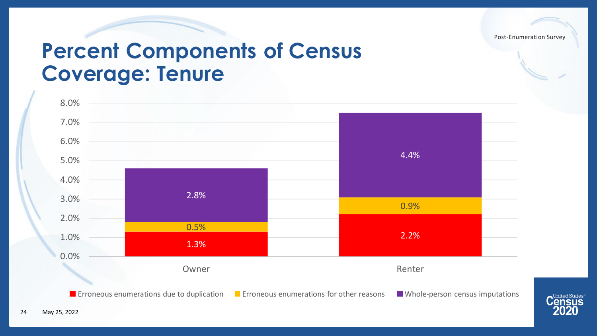#### **Percent Components of Census Coverage: Tenure**



**E** Erroneous enumerations due to duplication **E** Erroneous enumerations for other reasons IV Whole-person census imputations

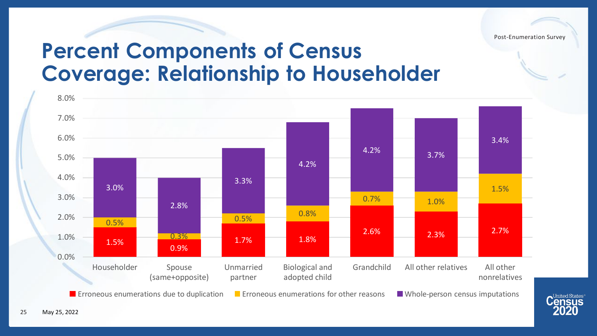#### **Percent Components of Census Coverage: Relationship to Householder**

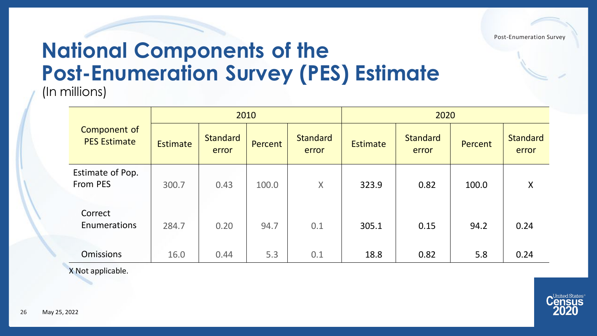#### **National Components of the Post-Enumeration Survey (PES) Estimate** (In millions)

|                                     |                 |                          | 2010    |                          |          |                          | 2020    |                          |  |
|-------------------------------------|-----------------|--------------------------|---------|--------------------------|----------|--------------------------|---------|--------------------------|--|
| Component of<br><b>PES Estimate</b> | <b>Estimate</b> | <b>Standard</b><br>error | Percent | <b>Standard</b><br>error | Estimate | <b>Standard</b><br>error | Percent | <b>Standard</b><br>error |  |
| Estimate of Pop.<br>From PES        | 300.7           | 0.43                     | 100.0   | $\sf X$                  | 323.9    | 0.82                     | 100.0   | X                        |  |
| Correct<br>Enumerations             | 284.7           | 0.20                     | 94.7    | 0.1                      | 305.1    | 0.15                     | 94.2    | 0.24                     |  |
| <b>Omissions</b>                    | 16.0            | 0.44                     | 5.3     | 0.1                      | 18.8     | 0.82                     | 5.8     | 0.24                     |  |

X Not applicable.

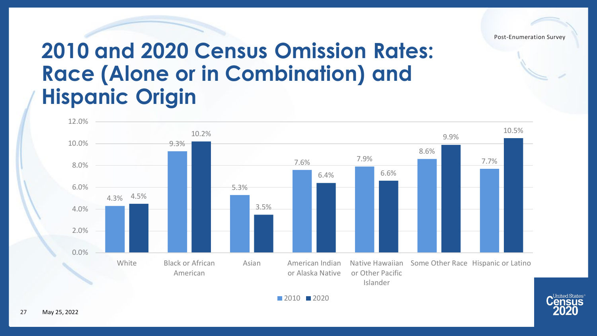

**United States** 

### **2010 and 2020 Census Omission Rates: Race (Alone or in Combination) and Hispanic Origin**



■ 2010 ■ 2020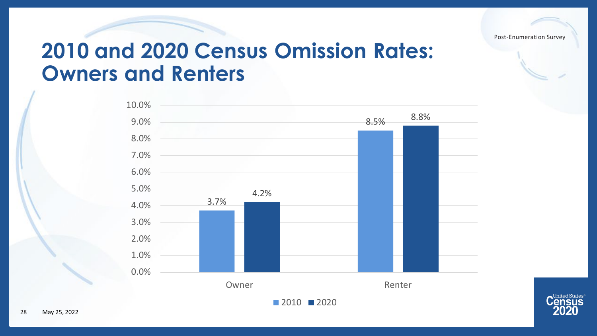

#### **2010 and 2020 Census Omission Rates: Owners and Renters**



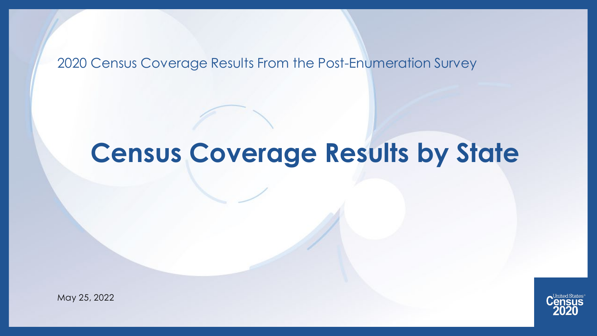#### 2020 Census Coverage Results From the Post-Enumeration Survey

# **Census Coverage Results by State**



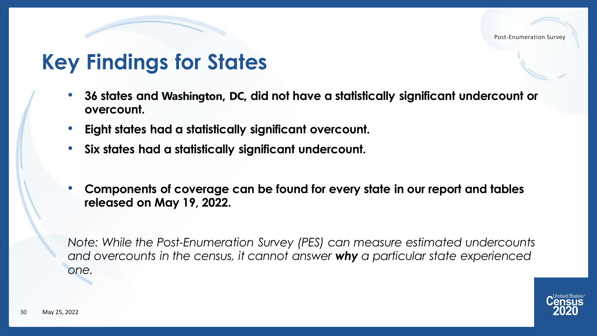## **Key Findings for States**

- **36 states and Washington, DC, did not have a statistically significant undercount or overcount.**
- **Eight states had a statistically significant overcount.**
- **Six states had a statistically significant undercount.**
- **Components of coverage can be found for every state in our report and tables released on May 19, 2022.**

*Note: While the Post-Enumeration Survey (PES) can measure estimated undercounts and overcounts in the census, it cannot answer why a particular state experienced one.* 

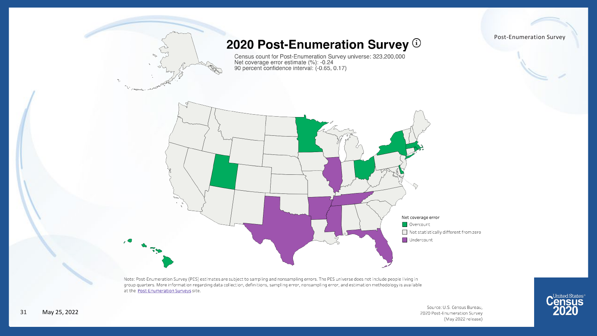Post-Enumeration Survey 2020 Post-Enumeration Survey ® Census count for Post-Enumeration Survey universe: 323,200,000<br>Net coverage error estimate (%): -0.24<br>90 percent confidence interval: (-0.65, 0.17) Net coverage error Overcount Not statistically different from zero Undercount

Note: Post-Enumeration Survey (PES) estimates are subject to sampling and nonsampling errors. The PES universe does not include people living in group quarters. More information regarding data collection, definitions, sampling error, nonsampling error, and estimation methodology is available at the Post-Enumeration Surveys site.

> Source: U.S. Census Bureau, 2020 Post-Enumeration Survey (May 2022 release)

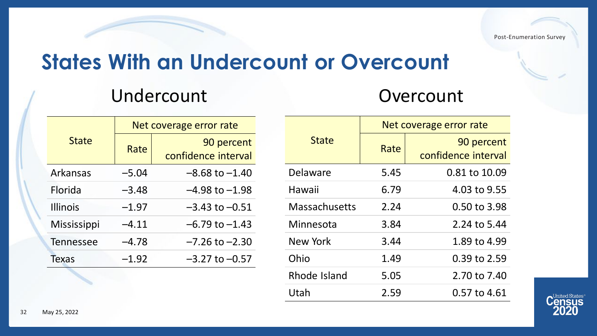## **States With an Undercount or Overcount**

#### Undercount Overcount

|                    |         | Net coverage error rate           |
|--------------------|---------|-----------------------------------|
| <b>State</b>       | Rate    | 90 percent<br>confidence interval |
| Arkansas           | $-5.04$ | $-8.68$ to $-1.40$                |
| <b>Florida</b>     | $-3.48$ | $-4.98$ to $-1.98$                |
| <b>Illinois</b>    | $-1.97$ | $-3.43$ to $-0.51$                |
| <b>Mississippi</b> | $-4.11$ | $-6.79$ to $-1.43$                |
| <b>Tennessee</b>   | $-4.78$ | $-7.26$ to $-2.30$                |
| <b>Texas</b>       | $-1.92$ | $-3.27$ to $-0.57$                |

| Net coverage error rate |                     |  |  |  |  |
|-------------------------|---------------------|--|--|--|--|
|                         | 90 percent          |  |  |  |  |
|                         | confidence interval |  |  |  |  |
| 5.45                    | 0.81 to 10.09       |  |  |  |  |
| 6.79                    | 4.03 to 9.55        |  |  |  |  |
| 2.24                    | 0.50 to 3.98        |  |  |  |  |
| 3.84                    | 2.24 to 5.44        |  |  |  |  |
| 3.44                    | 1.89 to 4.99        |  |  |  |  |
| 1.49                    | 0.39 to 2.59        |  |  |  |  |
| 5.05                    | 2.70 to 7.40        |  |  |  |  |
| 2.59                    | 0.57 to 4.61        |  |  |  |  |
|                         | Rate                |  |  |  |  |

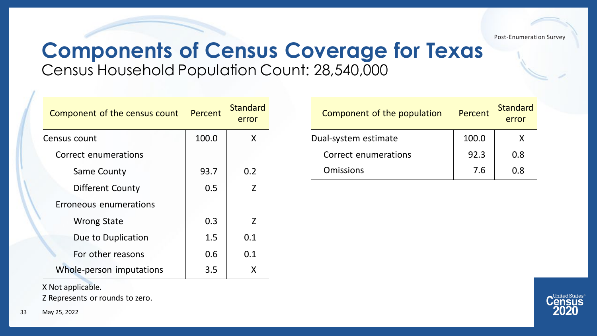#### **Components of Census Coverage for Texas**  Census Household Population Count: 28,540,000

| Component of the census count | Percent | <b>Standard</b><br>error |
|-------------------------------|---------|--------------------------|
| Census count                  | 100.0   | X                        |
| Correct enumerations          |         |                          |
| Same County                   | 93.7    | 0.2                      |
| Different County              | 0.5     | $\overline{z}$           |
| Erroneous enumerations        |         |                          |
| <b>Wrong State</b>            | 0.3     | $\overline{7}$           |
| Due to Duplication            | 1.5     | 0.1                      |
| For other reasons             | 0.6     | 0.1                      |
| Whole-person imputations      | 3.5     | X                        |

Component of the population Percent Standard error Dual-system estimate 100.0 x Correct enumerations 192.3 0.8 Omissions 7.6 0.8

X Not applicable. Z Represents or rounds to zero.

33 May 25, 2022

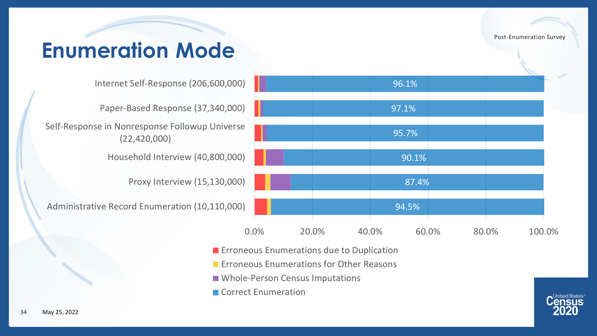## **Enumeration Mode**

Internet Self-Response (206,600,000)

Paper-Based Response (37,340,000)

Self-Response in Nonresponse Followup Universe (22,420,000)

Household Interview (40,800,000)

Proxy Interview (15,130,000)

Administrative Record Enumeration (10,110,000)



- **Exercise Enumerations due to Duplication**
- **EXECUTE: ENGINEE** Enumerations for Other Reasons
- **NAMILE Whole-Person Census Imputations**
- Correct Enumeration

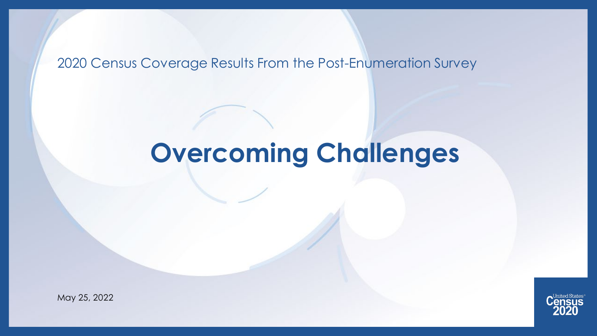#### 2020 Census Coverage Results From the Post-Enumeration Survey

# **Overcoming Challenges**



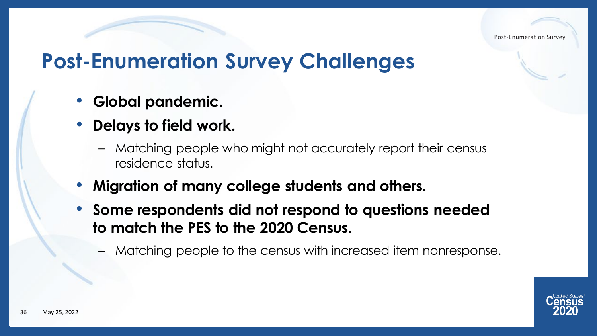## **Post-Enumeration Survey Challenges**

- **Global pandemic.**
- **Delays to field work.**
	- Matching people who might not accurately report their census residence status.
- **Migration of many college students and others.**
- **Some respondents did not respond to questions needed to match the PES to the 2020 Census.**
	- Matching people to the census with increased item nonresponse.